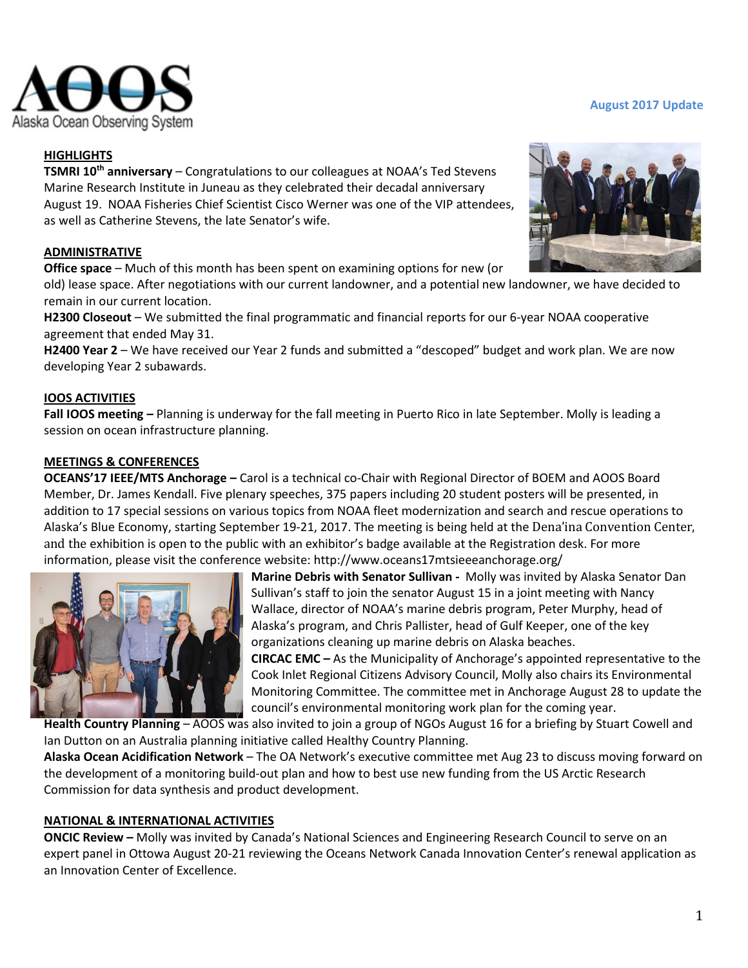

## **HIGHLIGHTS**

**TSMRI 10th anniversary** – Congratulations to our colleagues at NOAA's Ted Stevens Marine Research Institute in Juneau as they celebrated their decadal anniversary August 19. NOAA Fisheries Chief Scientist Cisco Werner was one of the VIP attendees, as well as Catherine Stevens, the late Senator's wife.

## **ADMINISTRATIVE**

**Office space** – Much of this month has been spent on examining options for new (or

old) lease space. After negotiations with our current landowner, and a potential new landowner, we have decided to remain in our current location.

**H2300 Closeout** – We submitted the final programmatic and financial reports for our 6-year NOAA cooperative agreement that ended May 31.

**H2400 Year 2** – We have received our Year 2 funds and submitted a "descoped" budget and work plan. We are now developing Year 2 subawards.

## **IOOS ACTIVITIES**

**Fall IOOS meeting –** Planning is underway for the fall meeting in Puerto Rico in late September. Molly is leading a session on ocean infrastructure planning.

## **MEETINGS & CONFERENCES**

**OCEANS'17 IEEE/MTS Anchorage –** Carol is a technical co-Chair with Regional Director of BOEM and AOOS Board Member, Dr. James Kendall. Five plenary speeches, 375 papers including 20 student posters will be presented, in addition to 17 special sessions on various topics from NOAA fleet modernization and search and rescue operations to Alaska's Blue Economy, starting September 19-21, 2017. The meeting is being held at the Dena'ina Convention Center, and the exhibition is open to the public with an exhibitor's badge available at the Registration desk. For more information, please visit the conference website: http://www.oceans17mtsieeeanchorage.org/



**Marine Debris with Senator Sullivan -** Molly was invited by Alaska Senator Dan Sullivan's staff to join the senator August 15 in a joint meeting with Nancy Wallace, director of NOAA's marine debris program, Peter Murphy, head of Alaska's program, and Chris Pallister, head of Gulf Keeper, one of the key organizations cleaning up marine debris on Alaska beaches.

**CIRCAC EMC –** As the Municipality of Anchorage's appointed representative to the Cook Inlet Regional Citizens Advisory Council, Molly also chairs its Environmental Monitoring Committee. The committee met in Anchorage August 28 to update the council's environmental monitoring work plan for the coming year.

**Health Country Planning** – AOOS was also invited to join a group of NGOs August 16 for a briefing by Stuart Cowell and Ian Dutton on an Australia planning initiative called Healthy Country Planning.

**Alaska Ocean Acidification Network** – The OA Network's executive committee met Aug 23 to discuss moving forward on the development of a monitoring build-out plan and how to best use new funding from the US Arctic Research Commission for data synthesis and product development.

# **NATIONAL & INTERNATIONAL ACTIVITIES**

**ONCIC Review –** Molly was invited by Canada's National Sciences and Engineering Research Council to serve on an expert panel in Ottowa August 20-21 reviewing the Oceans Network Canada Innovation Center's renewal application as an Innovation Center of Excellence.



#### **August 2017 Update**